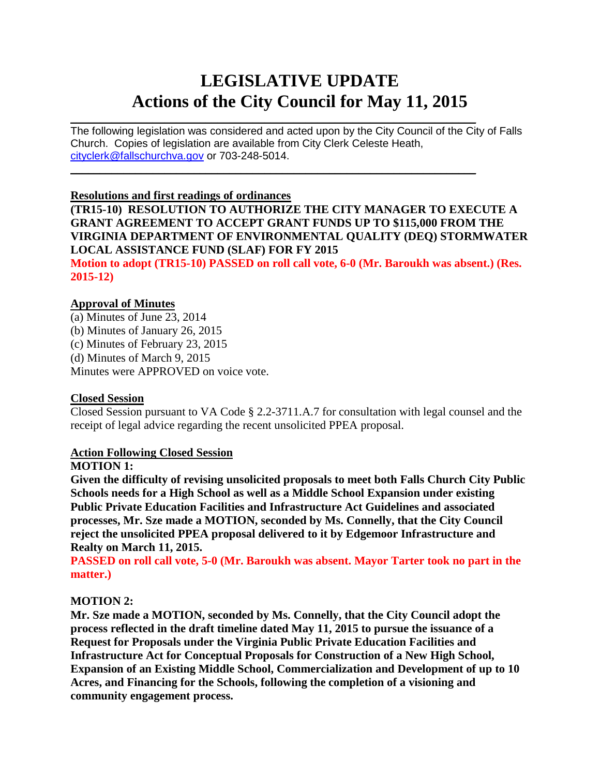# **LEGISLATIVE UPDATE Actions of the City Council for May 11, 2015**

 $\mathcal{L}_\text{max}$  and  $\mathcal{L}_\text{max}$  and  $\mathcal{L}_\text{max}$  and  $\mathcal{L}_\text{max}$  and  $\mathcal{L}_\text{max}$  and  $\mathcal{L}_\text{max}$ The following legislation was considered and acted upon by the City Council of the City of Falls Church. Copies of legislation are available from City Clerk Celeste Heath, [cityclerk@fallschurchva.gov](mailto:cityclerk@fallschurchva.gov) or 703-248-5014.

 $\mathcal{L}_\text{max}$  , and the contract of the contract of the contract of the contract of the contract of the contract of

#### **Resolutions and first readings of ordinances**

**(TR15-10) RESOLUTION TO AUTHORIZE THE CITY MANAGER TO EXECUTE A GRANT AGREEMENT TO ACCEPT GRANT FUNDS UP TO \$115,000 FROM THE VIRGINIA DEPARTMENT OF ENVIRONMENTAL QUALITY (DEQ) STORMWATER LOCAL ASSISTANCE FUND (SLAF) FOR FY 2015**

**Motion to adopt (TR15-10) PASSED on roll call vote, 6-0 (Mr. Baroukh was absent.) (Res. 2015-12)**

## **Approval of Minutes**

(a) Minutes of June 23, 2014 (b) Minutes of January 26, 2015 (c) Minutes of February 23, 2015 (d) Minutes of March 9, 2015 Minutes were APPROVED on voice vote.

#### **Closed Session**

Closed Session pursuant to VA Code § 2.2-3711.A.7 for consultation with legal counsel and the receipt of legal advice regarding the recent unsolicited PPEA proposal.

# **Action Following Closed Session**

#### **MOTION 1:**

**Given the difficulty of revising unsolicited proposals to meet both Falls Church City Public Schools needs for a High School as well as a Middle School Expansion under existing Public Private Education Facilities and Infrastructure Act Guidelines and associated processes, Mr. Sze made a MOTION, seconded by Ms. Connelly, that the City Council reject the unsolicited PPEA proposal delivered to it by Edgemoor Infrastructure and Realty on March 11, 2015.** 

**PASSED on roll call vote, 5-0 (Mr. Baroukh was absent. Mayor Tarter took no part in the matter.)**

# **MOTION 2:**

**Mr. Sze made a MOTION, seconded by Ms. Connelly, that the City Council adopt the process reflected in the draft timeline dated May 11, 2015 to pursue the issuance of a Request for Proposals under the Virginia Public Private Education Facilities and Infrastructure Act for Conceptual Proposals for Construction of a New High School, Expansion of an Existing Middle School, Commercialization and Development of up to 10 Acres, and Financing for the Schools, following the completion of a visioning and community engagement process.**